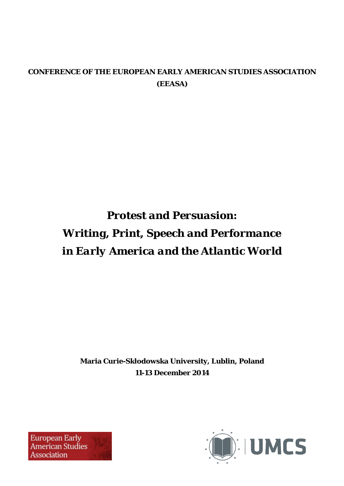# **CONFERENCE OF THE EUROPEAN EARLY AMERICAN STUDIES ASSOCIATION (EEASA)**

# *Protest and Persuasion: Writing, Print, Speech and Performance in Early America and the Atlantic World*

**Maria Curie-Skłodowska University, Lublin, Poland 11-13 December 2014** 



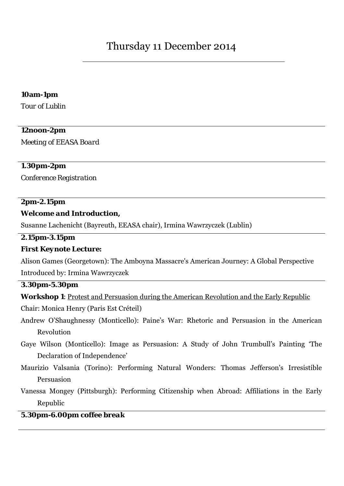#### **10am-1pm**

*Tour of Lublin* 

#### **12noon-2pm**

*Meeting of EEASA Board* 

#### **1.30pm-2pm**

*Conference Registration* 

#### **2pm-2.15pm**

#### *Welcome and Introduction***,**

Susanne Lachenicht (Bayreuth, EEASA chair), Irmina Wawrzyczek (Lublin)

#### **2.15pm-3.15pm**

#### *First Keynote Lecture***:**

Alison Games (Georgetown): The Amboyna Massacre's American Journey: A Global Perspective Introduced by: Irmina Wawrzyczek

#### **3.30pm-5.30pm**

*Workshop 1*: Protest and Persuasion during the American Revolution and the Early Republic

Chair: Monica Henry (Paris Est Créteil)

Andrew O'Shaughnessy (Monticello): Paine's War: Rhetoric and Persuasion in the American Revolution

Gaye Wilson (Monticello): Image as Persuasion: A Study of John Trumbull's Painting 'The Declaration of Independence'

Maurizio Valsania (Torino): Performing Natural Wonders: Thomas Jefferson's Irresistible Persuasion

Vanessa Mongey (Pittsburgh): Performing Citizenship when Abroad: Affiliations in the Early Republic

#### **5.30pm-6.00pm** *coffee break*

l,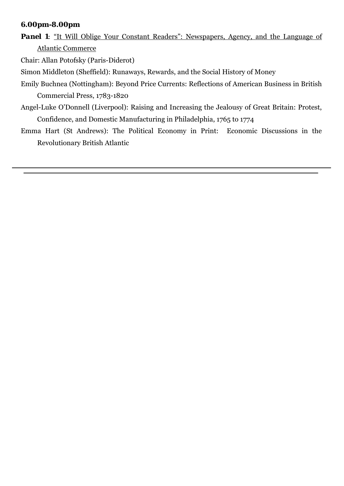#### **6.00pm-8.00pm**

**Panel 1***:* "It Will Oblige Your Constant Readers": Newspapers, Agency, and the Language of Atlantic Commerce

Chair: Allan Potofsky (Paris-Diderot)

Simon Middleton (Sheffield): Runaways, Rewards, and the Social History of Money

- Emily Buchnea (Nottingham): Beyond Price Currents: Reflections of American Business in British Commercial Press, 1783-1820
- Angel-Luke O'Donnell (Liverpool): Raising and Increasing the Jealousy of Great Britain: Protest, Confidence, and Domestic Manufacturing in Philadelphia, 1765 to 1774
- Emma Hart (St Andrews): The Political Economy in Print: Economic Discussions in the Revolutionary British Atlantic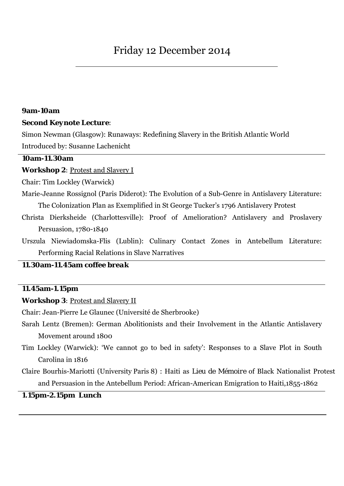#### **9am-10am**

#### *Second Keynote Lecture*:

Simon Newman (Glasgow): Runaways: Redefining Slavery in the British Atlantic World Introduced by: Susanne Lachenicht

#### **10am-11.30am**

*Workshop 2: Protest and Slavery I* 

Chair: Tim Lockley (Warwick)

Marie-Jeanne Rossignol (Paris Diderot): The Evolution of a Sub-Genre in Antislavery Literature: The Colonization Plan as Exemplified in St George Tucker's 1796 Antislavery Protest

Christa Dierksheide (Charlottesville): Proof of Amelioration? Antislavery and Proslavery Persuasion, 1780-1840

Urszula Niewiadomska-Flis (Lublin): Culinary Contact Zones in Antebellum Literature: Performing Racial Relations in Slave Narratives

# **11.30am-11.45am** *coffee break*

#### **11.45am-1.15pm**

*Workshop 3: Protest and Slavery II* 

Chair: Jean-Pierre Le Glaunec (Université de Sherbrooke)

- Sarah Lentz (Bremen): German Abolitionists and their Involvement in the Atlantic Antislavery Movement around 1800
- Tim Lockley (Warwick): 'We cannot go to bed in safety': Responses to a Slave Plot in South Carolina in 1816

Claire Bourhis-Mariotti (University Paris 8) : Haiti as *Lieu de Mémoire* of Black Nationalist Protest and Persuasion in the Antebellum Period: African-American Emigration to Haiti,1855-1862

#### **1.15pm-2.15pm** *Lunch*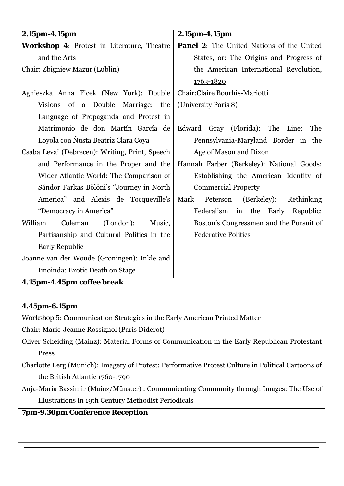| $2.15pm-4.15pm$                                   | 2.15pm-4.15pm                                    |
|---------------------------------------------------|--------------------------------------------------|
| <b>Workshop 4: Protest in Literature, Theatre</b> | <b>Panel 2:</b> The United Nations of the United |
| and the Arts                                      | States, or: The Origins and Progress of          |
| Chair: Zbigniew Mazur (Lublin)                    | the American International Revolution,           |
|                                                   | 1763-1820                                        |
| Agnieszka Anna Ficek (New York): Double           | Chair: Claire Bourhis-Mariotti                   |
| Visions of a Double Marriage: the                 | (University Paris 8)                             |
| Language of Propaganda and Protest in             |                                                  |
| Matrimonio de don Martín García de                | Edward Gray (Florida): The Line:<br>The          |
| Loyola con Ñusta Beatriz Clara Coya               | Pennsylvania-Maryland Border in the              |
| Csaba Levai (Debrecen): Writing, Print, Speech    | Age of Mason and Dixon                           |
| and Performance in the Proper and the             | Hannah Farber (Berkeley): National Goods:        |
| Wider Atlantic World: The Comparison of           | Establishing the American Identity of            |
| Sándor Farkas Bölöni's "Journey in North          | <b>Commercial Property</b>                       |
| America" and Alexis de Tocqueville's              | Mark<br>Peterson (Berkeley):<br>Rethinking       |
| "Democracy in America"                            | Federalism<br>in the Early Republic:             |
| William<br>Coleman<br>(London):<br>Music,         | Boston's Congressmen and the Pursuit of          |
| Partisanship and Cultural Politics in the         | <b>Federative Politics</b>                       |
| <b>Early Republic</b>                             |                                                  |
| Joanne van der Woude (Groningen): Inkle and       |                                                  |
| Imoinda: Exotic Death on Stage                    |                                                  |

**4.15pm-4.45pm** *coffee break*

# **4.45pm-6.15pm**

*Workshop 5:* Communication Strategies in the Early American Printed Matter

Chair: Marie-Jeanne Rossignol (Paris Diderot)

- Oliver Scheiding (Mainz): Material Forms of Communication in the Early Republican Protestant Press
- Charlotte Lerg (Munich): Imagery of Protest: Performative Protest Culture in Political Cartoons of the British Atlantic 1760-1790
- Anja-Maria Bassimir (Mainz/Münster) : Communicating Community through Images: The Use of Illustrations in 19th Century Methodist Periodicals

# **7pm-9.30pm** *Conference Reception*